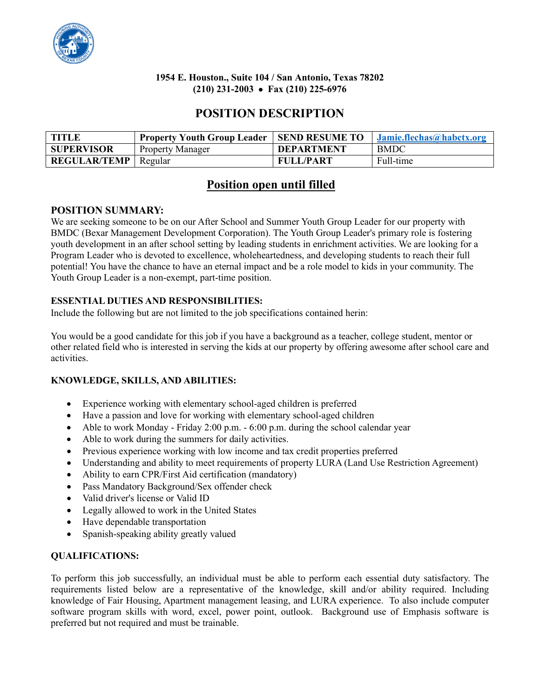

## **1954 E. Houston., Suite 104 / San Antonio, Texas 78202 (210) 231-2003** • **Fax (210) 225-6976**

# **POSITION DESCRIPTION**

| TITLE                         | <b>Property Youth Group Leader   SEND RESUME TO</b> |                   | <b>Jamie.flechas@habctx.org</b> |
|-------------------------------|-----------------------------------------------------|-------------------|---------------------------------|
| <b>SUPERVISOR</b>             | <b>Property Manager</b>                             | <b>DEPARTMENT</b> | <b>BMDC</b>                     |
| <b>REGULAR/TEMP</b>   Regular |                                                     | <b>FULL/PART</b>  | Full-time                       |

## **Position open until filled**

## **POSITION SUMMARY:**

We are seeking someone to be on our After School and Summer Youth Group Leader for our property with BMDC (Bexar Management Development Corporation). The Youth Group Leader's primary role is fostering youth development in an after school setting by leading students in enrichment activities. We are looking for a Program Leader who is devoted to excellence, wholeheartedness, and developing students to reach their full potential! You have the chance to have an eternal impact and be a role model to kids in your community. The Youth Group Leader is a non-exempt, part-time position.

## **ESSENTIAL DUTIES AND RESPONSIBILITIES:**

Include the following but are not limited to the job specifications contained herin:

You would be a good candidate for this job if you have a background as a teacher, college student, mentor or other related field who is interested in serving the kids at our property by offering awesome after school care and activities.

### **KNOWLEDGE, SKILLS, AND ABILITIES:**

- Experience working with elementary school-aged children is preferred
- Have a passion and love for working with elementary school-aged children
- Able to work Monday Friday 2:00 p.m.  $-6:00$  p.m. during the school calendar year
- Able to work during the summers for daily activities.
- Previous experience working with low income and tax credit properties preferred
- Understanding and ability to meet requirements of property LURA (Land Use Restriction Agreement)
- Ability to earn CPR/First Aid certification (mandatory)
- Pass Mandatory Background/Sex offender check
- Valid driver's license or Valid ID
- Legally allowed to work in the United States
- Have dependable transportation
- Spanish-speaking ability greatly valued

### **QUALIFICATIONS:**

To perform this job successfully, an individual must be able to perform each essential duty satisfactory. The requirements listed below are a representative of the knowledge, skill and/or ability required. Including knowledge of Fair Housing, Apartment management leasing, and LURA experience. To also include computer software program skills with word, excel, power point, outlook. Background use of Emphasis software is preferred but not required and must be trainable.